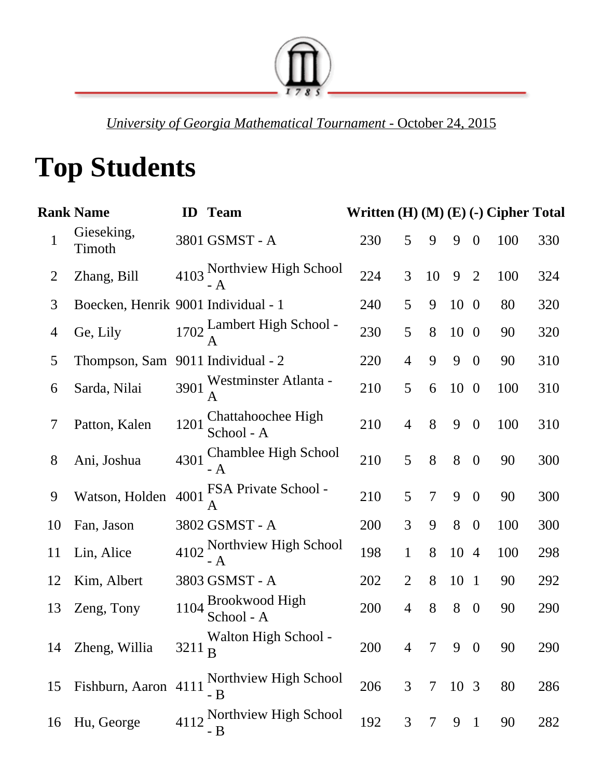

*University of Georgia Mathematical Tournament* October 24, 2015

## **Top Students**

|             | Rank Name                           |      | <b>ID</b> Team                    | Written (H) (M) (E) (-) Cipher Total |                |                |                 |                  |            |     |
|-------------|-------------------------------------|------|-----------------------------------|--------------------------------------|----------------|----------------|-----------------|------------------|------------|-----|
| $\mathbf 1$ | Gieseking,<br>Timoth                |      | 3801 GSMST - A                    | 230                                  | 5              | 9              | 9               | $\bf{0}$         | 100        | 330 |
| 2           | Zhang, Bill                         |      | 4103 Northview High School<br>- A | 224                                  | 3              | 10             | 9               | 2                | 100        | 324 |
| 3           | Boecken, Henrik 9001 Individual - 1 |      |                                   | 240                                  | 5              | 9              | 10 0            |                  | 80         | 320 |
| 4           | Ge, Lily                            |      | 1702 Lambert High School -        | 230                                  | 5              | 8              | $10\quad0$      |                  | 90         | 320 |
| 5           | Thompson, Sam                       |      | 9011 Individual - 2               | 220                                  | 4              | 9              | 9               | $\overline{0}$   | 90         | 310 |
| 6           | Sarda, Nilai                        |      | 3901 Westminster Atlanta -        | 210                                  | 5              | 6              | 10 <sub>0</sub> |                  | 100        | 310 |
| 7           | Patton, Kalen                       | 1201 | Chattahoochee High<br>School - A  | 210                                  | $\overline{4}$ | 8              | 9               | $\boldsymbol{0}$ | 100        | 310 |
| 8           | Ani, Joshua                         |      | 4301 Chamblee High School         | 210                                  | 5              | 8              | 8               | $\bf{0}$         | 90         | 300 |
| 9           | Watson, Holden                      |      | 4001 FSA Private School -         | 210                                  | 5              | $\overline{7}$ | 9               | $\overline{0}$   | 90         | 300 |
| 10          | Fan, Jason                          |      | 3802 GSMST - A                    | 200                                  | 3              | 9              | 8               | $\overline{0}$   | 100        | 300 |
| 11          | Lin, Alice                          |      | 4102 Northview High School<br>- A | 198                                  | $\mathbf{1}$   | 8              | 10 4            |                  | 100        | 298 |
| 12          | Kim, Albert                         |      | 3803 GSMST - A                    | 202                                  | $\overline{2}$ | 8              | 10 1            |                  | 90         | 292 |
| 13          | Zeng, Tony                          |      | 1104 Brookwood High<br>School - A | 200                                  | $\overline{4}$ | 8              | 8               | $\boldsymbol{0}$ | 90         | 290 |
|             | 14 Zheng, Willia                    |      | Walton High School -<br>3211 B    | 200                                  |                |                |                 |                  | 4 7 9 0 90 | 290 |
| 15          | Fishburn, Aaron 4111                |      | Northview High School<br>- B      | 206                                  | 3              | 7              | 10 3            |                  | 80         | 286 |
| 16          | Hu, George                          |      | 4112 Northview High School<br>- B | 192                                  | 3              | 7              | 9               | $\mathbf{1}$     | 90         | 282 |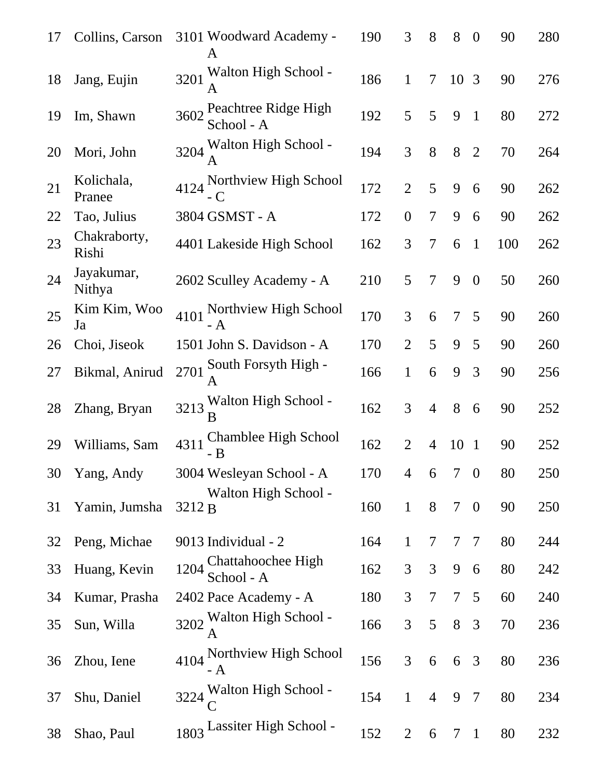| 17 | Collins, Carson       | 3101 Woodward Academy -<br>A             | 190 | 3                        | 8              | 8              | $\overline{0}$   | 90  | 280 |
|----|-----------------------|------------------------------------------|-----|--------------------------|----------------|----------------|------------------|-----|-----|
| 18 | Jang, Eujin           | 3201 Walton High School -                | 186 | $\mathbf{1}$             | 7              | 10 3           |                  | 90  | 276 |
| 19 | Im, Shawn             | 3602 Peachtree Ridge High<br>School - A  | 192 | 5                        | 5              | 9              | $\mathbf{1}$     | 80  | 272 |
| 20 | Mori, John            | 3204 Walton High School -                | 194 | 3                        | 8              | 8              | 2                | 70  | 264 |
| 21 | Kolichala,<br>Pranee  | 4124 Northview High School               | 172 | $\overline{2}$           | 5              | 9              | 6                | 90  | 262 |
| 22 | Tao, Julius           | 3804 GSMST - A                           | 172 | $\overline{0}$           | $\overline{7}$ | 9              | 6                | 90  | 262 |
| 23 | Chakraborty,<br>Rishi | 4401 Lakeside High School                | 162 | 3                        | 7              | 6              | $\mathbf{1}$     | 100 | 262 |
| 24 | Jayakumar,<br>Nithya  | 2602 Sculley Academy - A                 | 210 | 5                        | $\overline{7}$ | 9              | $\mathbf{0}$     | 50  | 260 |
| 25 | Kim Kim, Woo<br>Ja    | 4101 Northview High School               | 170 | 3                        | 6              | $\overline{7}$ | 5                | 90  | 260 |
| 26 | Choi, Jiseok          | 1501 John S. Davidson - A                | 170 | $\overline{2}$           | 5              | 9              | 5                | 90  | 260 |
| 27 | Bikmal, Anirud        | 2701 South Forsyth High -                | 166 | $\mathbf{1}$             | 6              | 9              | 3                | 90  | 256 |
| 28 | Zhang, Bryan          | 3213 Walton High School -                | 162 | 3                        | $\overline{4}$ | 8              | 6                | 90  | 252 |
| 29 | Williams, Sam         | Chamblee High School<br>4311<br>B        | 162 | $\overline{2}$           | 4              | 10             | $\mathbf{1}$     | 90  | 252 |
| 30 | Yang, Andy            | 3004 Wesleyan School - A                 | 170 | $\overline{\mathcal{A}}$ | 6              | $\overline{7}$ | $\overline{0}$   | 80  | 250 |
| 31 | Yamin, Jumsha         | Walton High School -<br>3212 B           | 160 | $\mathbf{1}$             | 8              | 7              | $\boldsymbol{0}$ | 90  | 250 |
| 32 | Peng, Michae          | 9013 Individual - 2                      | 164 | $\mathbf{1}$             | 7              | 7              | 7                | 80  | 244 |
| 33 | Huang, Kevin          | Chattahoochee High<br>1204<br>School - A | 162 | 3                        | 3              | 9              | 6                | 80  | 242 |
| 34 | Kumar, Prasha         | 2402 Pace Academy - A                    | 180 | 3                        | 7              | 7              | 5                | 60  | 240 |
| 35 | Sun, Willa            | 3202 Walton High School -<br>A           | 166 | 3                        | 5              | 8              | 3                | 70  | 236 |
| 36 | Zhou, Iene            | Northview High School<br>4104<br>- A     | 156 | 3                        | 6              | 6              | 3                | 80  | 236 |
| 37 | Shu, Daniel           | 3224 Walton High School -                | 154 | $\mathbf{1}$             | $\overline{4}$ | 9              | $\overline{7}$   | 80  | 234 |
| 38 | Shao, Paul            | 1803 Lassiter High School -              | 152 | $\overline{2}$           | 6              | 7              | 1                | 80  | 232 |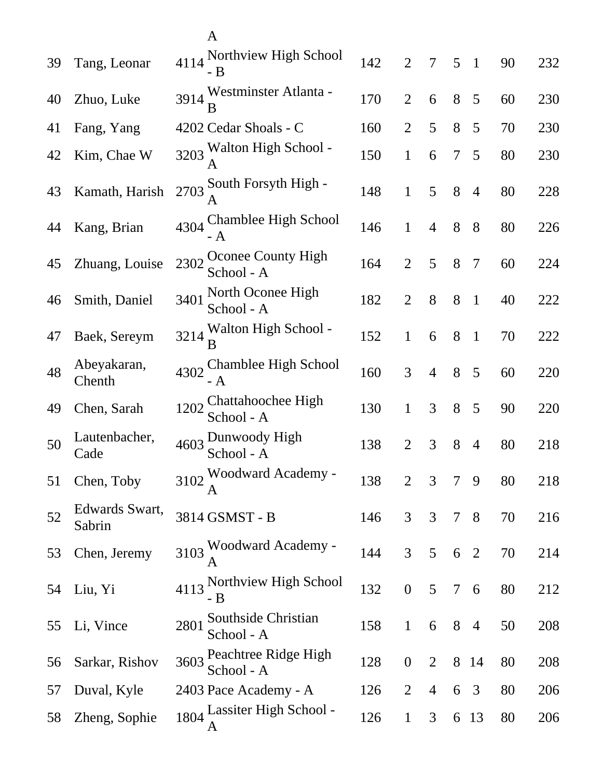|    |                          | A                                          |     |                  |                |                |                |    |     |
|----|--------------------------|--------------------------------------------|-----|------------------|----------------|----------------|----------------|----|-----|
| 39 | Tang, Leonar             | 4114 Northview High School<br>- B          | 142 | $\overline{2}$   | 7              | 5              | $\overline{1}$ | 90 | 232 |
| 40 | Zhuo, Luke               | 3914 Westminster Atlanta -                 | 170 | $\overline{2}$   | 6              | 8              | 5              | 60 | 230 |
| 41 | Fang, Yang               | 4202 Cedar Shoals - C                      | 160 | $\overline{2}$   | 5              | 8              | 5              | 70 | 230 |
| 42 | Kim, Chae W              | 3203 Walton High School -                  | 150 | $\mathbf{1}$     | 6              | $\overline{7}$ | 5              | 80 | 230 |
| 43 | Kamath, Harish           | 2703 South Forsyth High -                  | 148 | $\mathbf{1}$     | 5              | 8              | $\overline{4}$ | 80 | 228 |
| 44 | Kang, Brian              | Chamblee High School<br>4304               | 146 | $\mathbf{1}$     | $\overline{4}$ | 8              | 8              | 80 | 226 |
| 45 | Zhuang, Louise           | Oconee County High<br>2302<br>School - A   | 164 | $\overline{2}$   | 5              | 8              | $\overline{7}$ | 60 | 224 |
| 46 | Smith, Daniel            | North Oconee High<br>3401<br>School - A    | 182 | $\overline{2}$   | 8              | 8              | $\mathbf{1}$   | 40 | 222 |
| 47 | Baek, Sereym             | Walton High School -<br>3214<br>В          | 152 | $\mathbf{1}$     | 6              | 8              | $\mathbf{1}$   | 70 | 222 |
| 48 | Abeyakaran,<br>Chenth    | Chamblee High School<br>4302<br>- A        | 160 | 3                | $\overline{4}$ | 8              | 5              | 60 | 220 |
| 49 | Chen, Sarah              | Chattahoochee High<br>1202<br>School - A   | 130 | $\mathbf{1}$     | 3              | 8              | 5              | 90 | 220 |
| 50 | Lautenbacher,<br>Cade    | 4603 Dunwoody High<br>School - A           | 138 | 2                | 3              | 8              | $\overline{4}$ | 80 | 218 |
| 51 | Chen, Toby               | 3102 Woodward Academy -                    | 138 | $\overline{2}$   | 3              | 7              | 9              | 80 | 218 |
| 52 | Edwards Swart,<br>Sabrin | 3814 GSMST - B                             | 146 | 3                | 3              | $\overline{7}$ | 8 <sup>8</sup> | 70 | 216 |
| 53 | Chen, Jeremy             | 3103 Woodward Academy -<br>А               | 144 | 3                | 5              | 6              | $\overline{2}$ | 70 | 214 |
| 54 | Liu, Yi                  | 4113 Northview High School<br>- B          | 132 | $\boldsymbol{0}$ | 5              | $\overline{7}$ | 6              | 80 | 212 |
| 55 | Li, Vince                | Southside Christian<br>2801<br>School - A  | 158 | $\mathbf{1}$     | 6              | 8              | $\overline{4}$ | 50 | 208 |
| 56 | Sarkar, Rishov           | Peachtree Ridge High<br>3603<br>School - A | 128 | $\boldsymbol{0}$ | $\overline{2}$ | 8              | 14             | 80 | 208 |
| 57 | Duval, Kyle              | 2403 Pace Academy - A                      | 126 | $\overline{2}$   | 4              | 6              | 3              | 80 | 206 |
| 58 | Zheng, Sophie            | 1804 Lassiter High School -                | 126 | $\mathbf{1}$     | 3              | 6              | 13             | 80 | 206 |